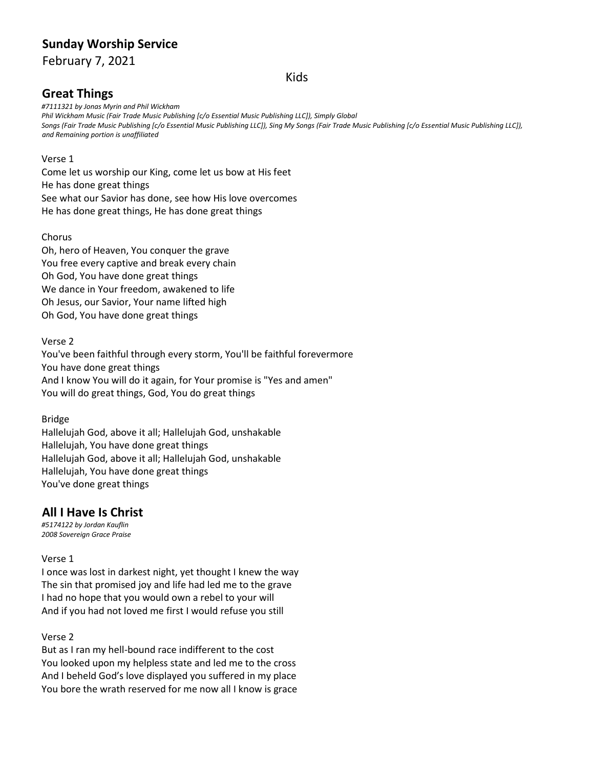# **Sunday Worship Service**

February 7, 2021

## Kids

# **Great Things**

*#7111321 by Jonas Myrin and Phil Wickham Phil Wickham Music (Fair Trade Music Publishing [c/o Essential Music Publishing LLC]), Simply Global* Songs (Fair Trade Music Publishing [c/o Essential Music Publishing LLC]), Sing My Songs (Fair Trade Music Publishing [c/o Essential Music Publishing LLC]), *and Remaining portion is unaffiliated*

### Verse 1

Come let us worship our King, come let us bow at His feet He has done great things See what our Savior has done, see how His love overcomes He has done great things, He has done great things

### Chorus

Oh, hero of Heaven, You conquer the grave You free every captive and break every chain Oh God, You have done great things We dance in Your freedom, awakened to life Oh Jesus, our Savior, Your name lifted high Oh God, You have done great things

### Verse 2

You've been faithful through every storm, You'll be faithful forevermore You have done great things And I know You will do it again, for Your promise is "Yes and amen" You will do great things, God, You do great things

## Bridge

Hallelujah God, above it all; Hallelujah God, unshakable Hallelujah, You have done great things Hallelujah God, above it all; Hallelujah God, unshakable Hallelujah, You have done great things You've done great things

## **All I Have Is Christ**

*#5174122 by Jordan Kauflin 2008 Sovereign Grace Praise*

### Verse 1

I once was lost in darkest night, yet thought I knew the way The sin that promised joy and life had led me to the grave I had no hope that you would own a rebel to your will And if you had not loved me first I would refuse you still

### Verse 2

But as I ran my hell-bound race indifferent to the cost You looked upon my helpless state and led me to the cross And I beheld God's love displayed you suffered in my place You bore the wrath reserved for me now all I know is grace